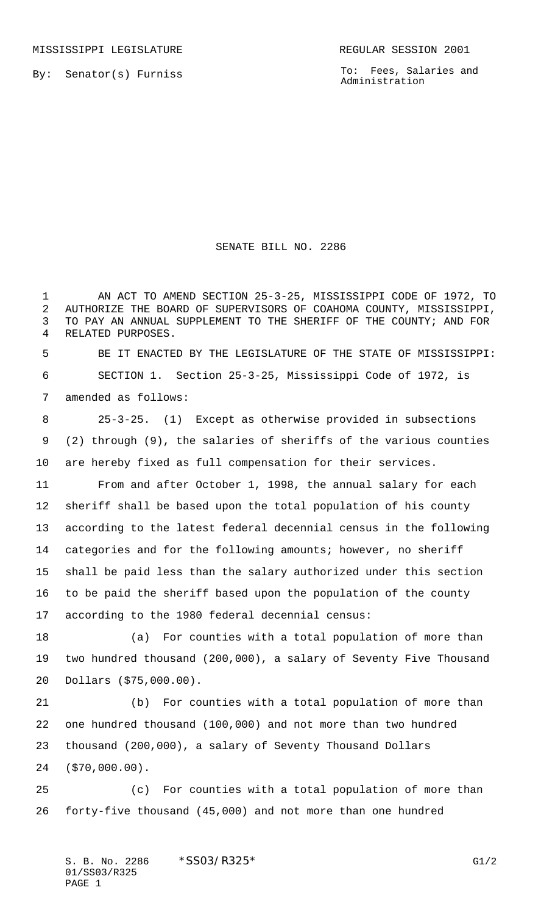By: Senator(s) Furniss

To: Fees, Salaries and Administration

## SENATE BILL NO. 2286

 AN ACT TO AMEND SECTION 25-3-25, MISSISSIPPI CODE OF 1972, TO AUTHORIZE THE BOARD OF SUPERVISORS OF COAHOMA COUNTY, MISSISSIPPI, TO PAY AN ANNUAL SUPPLEMENT TO THE SHERIFF OF THE COUNTY; AND FOR RELATED PURPOSES.

 BE IT ENACTED BY THE LEGISLATURE OF THE STATE OF MISSISSIPPI: SECTION 1. Section 25-3-25, Mississippi Code of 1972, is amended as follows:

 25-3-25. (1) Except as otherwise provided in subsections (2) through (9), the salaries of sheriffs of the various counties are hereby fixed as full compensation for their services.

 From and after October 1, 1998, the annual salary for each sheriff shall be based upon the total population of his county according to the latest federal decennial census in the following categories and for the following amounts; however, no sheriff shall be paid less than the salary authorized under this section to be paid the sheriff based upon the population of the county according to the 1980 federal decennial census:

 (a) For counties with a total population of more than two hundred thousand (200,000), a salary of Seventy Five Thousand Dollars (\$75,000.00).

 (b) For counties with a total population of more than one hundred thousand (100,000) and not more than two hundred thousand (200,000), a salary of Seventy Thousand Dollars (\$70,000.00).

 (c) For counties with a total population of more than forty-five thousand (45,000) and not more than one hundred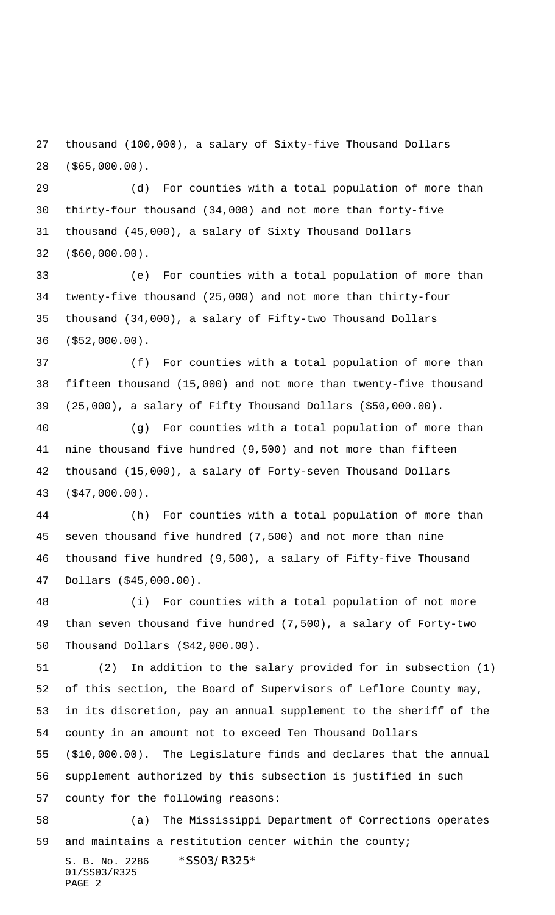thousand (100,000), a salary of Sixty-five Thousand Dollars (\$65,000.00).

 (d) For counties with a total population of more than thirty-four thousand (34,000) and not more than forty-five thousand (45,000), a salary of Sixty Thousand Dollars (\$60,000.00).

 (e) For counties with a total population of more than twenty-five thousand (25,000) and not more than thirty-four thousand (34,000), a salary of Fifty-two Thousand Dollars (\$52,000.00).

 (f) For counties with a total population of more than fifteen thousand (15,000) and not more than twenty-five thousand (25,000), a salary of Fifty Thousand Dollars (\$50,000.00).

 (g) For counties with a total population of more than nine thousand five hundred (9,500) and not more than fifteen thousand (15,000), a salary of Forty-seven Thousand Dollars (\$47,000.00).

 (h) For counties with a total population of more than seven thousand five hundred (7,500) and not more than nine thousand five hundred (9,500), a salary of Fifty-five Thousand Dollars (\$45,000.00).

 (i) For counties with a total population of not more than seven thousand five hundred (7,500), a salary of Forty-two Thousand Dollars (\$42,000.00).

 (2) In addition to the salary provided for in subsection (1) of this section, the Board of Supervisors of Leflore County may, in its discretion, pay an annual supplement to the sheriff of the county in an amount not to exceed Ten Thousand Dollars

 (\$10,000.00). The Legislature finds and declares that the annual supplement authorized by this subsection is justified in such

county for the following reasons:

 (a) The Mississippi Department of Corrections operates and maintains a restitution center within the county;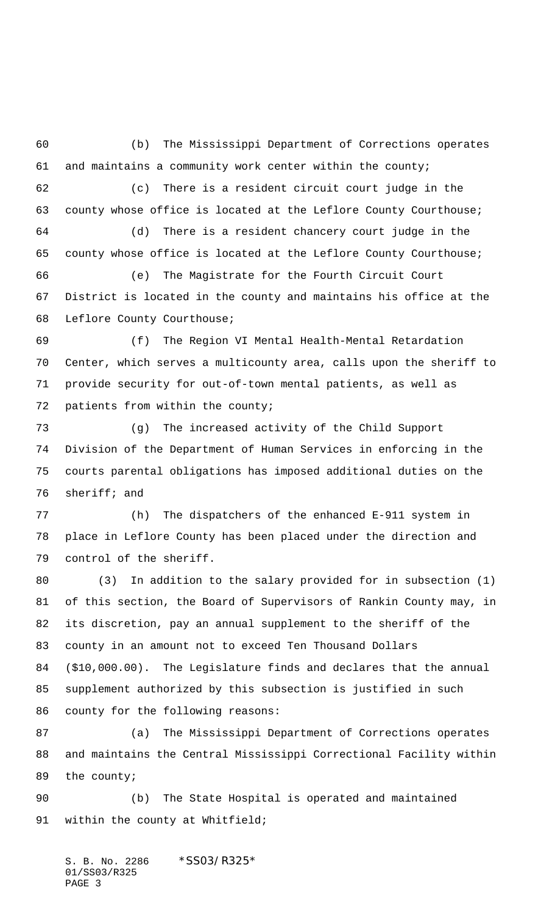(b) The Mississippi Department of Corrections operates and maintains a community work center within the county; (c) There is a resident circuit court judge in the county whose office is located at the Leflore County Courthouse; (d) There is a resident chancery court judge in the county whose office is located at the Leflore County Courthouse; (e) The Magistrate for the Fourth Circuit Court District is located in the county and maintains his office at the Leflore County Courthouse; (f) The Region VI Mental Health-Mental Retardation Center, which serves a multicounty area, calls upon the sheriff to provide security for out-of-town mental patients, as well as patients from within the county; (g) The increased activity of the Child Support Division of the Department of Human Services in enforcing in the courts parental obligations has imposed additional duties on the sheriff; and (h) The dispatchers of the enhanced E-911 system in place in Leflore County has been placed under the direction and control of the sheriff. (3) In addition to the salary provided for in subsection (1)

 of this section, the Board of Supervisors of Rankin County may, in its discretion, pay an annual supplement to the sheriff of the county in an amount not to exceed Ten Thousand Dollars (\$10,000.00). The Legislature finds and declares that the annual supplement authorized by this subsection is justified in such county for the following reasons:

 (a) The Mississippi Department of Corrections operates and maintains the Central Mississippi Correctional Facility within the county;

 (b) The State Hospital is operated and maintained within the county at Whitfield;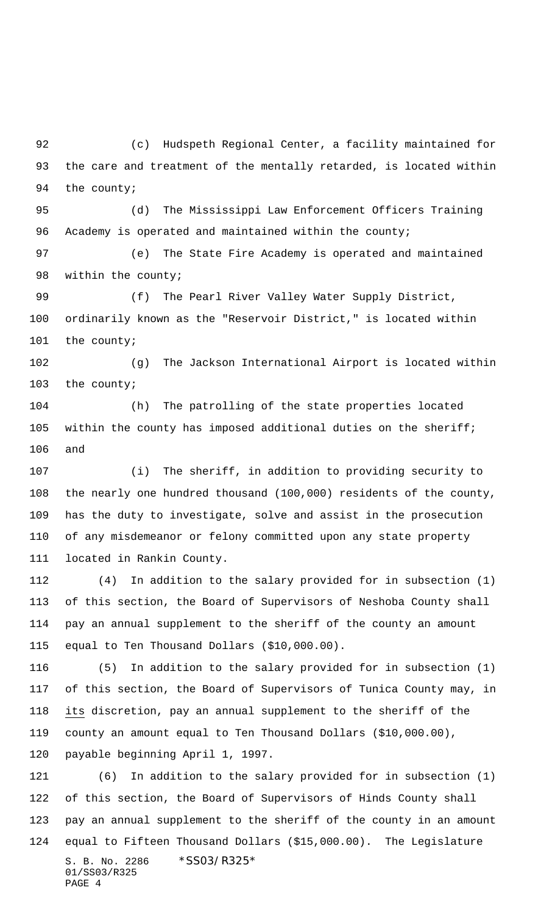(c) Hudspeth Regional Center, a facility maintained for the care and treatment of the mentally retarded, is located within 94 the county;

 (d) The Mississippi Law Enforcement Officers Training 96 Academy is operated and maintained within the county;

 (e) The State Fire Academy is operated and maintained 98 within the county;

 (f) The Pearl River Valley Water Supply District, ordinarily known as the "Reservoir District," is located within the county;

 (g) The Jackson International Airport is located within the county;

 (h) The patrolling of the state properties located within the county has imposed additional duties on the sheriff; and

 (i) The sheriff, in addition to providing security to the nearly one hundred thousand (100,000) residents of the county, has the duty to investigate, solve and assist in the prosecution of any misdemeanor or felony committed upon any state property located in Rankin County.

 (4) In addition to the salary provided for in subsection (1) of this section, the Board of Supervisors of Neshoba County shall pay an annual supplement to the sheriff of the county an amount equal to Ten Thousand Dollars (\$10,000.00).

 (5) In addition to the salary provided for in subsection (1) of this section, the Board of Supervisors of Tunica County may, in its discretion, pay an annual supplement to the sheriff of the county an amount equal to Ten Thousand Dollars (\$10,000.00), payable beginning April 1, 1997.

S. B. No. 2286 \*SS03/R325\* 01/SS03/R325 PAGE 4 (6) In addition to the salary provided for in subsection (1) of this section, the Board of Supervisors of Hinds County shall pay an annual supplement to the sheriff of the county in an amount equal to Fifteen Thousand Dollars (\$15,000.00). The Legislature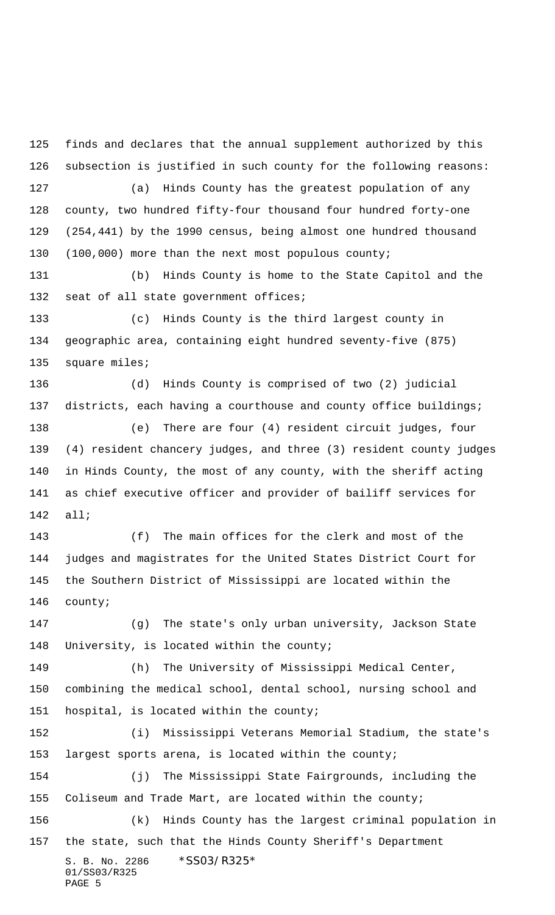S. B. No. 2286 \*SS03/R325\* 01/SS03/R325 finds and declares that the annual supplement authorized by this subsection is justified in such county for the following reasons: (a) Hinds County has the greatest population of any county, two hundred fifty-four thousand four hundred forty-one (254,441) by the 1990 census, being almost one hundred thousand (100,000) more than the next most populous county; (b) Hinds County is home to the State Capitol and the 132 seat of all state government offices; (c) Hinds County is the third largest county in geographic area, containing eight hundred seventy-five (875) 135 square miles; (d) Hinds County is comprised of two (2) judicial 137 districts, each having a courthouse and county office buildings; (e) There are four (4) resident circuit judges, four (4) resident chancery judges, and three (3) resident county judges in Hinds County, the most of any county, with the sheriff acting as chief executive officer and provider of bailiff services for all; (f) The main offices for the clerk and most of the judges and magistrates for the United States District Court for the Southern District of Mississippi are located within the county; (g) The state's only urban university, Jackson State 148 University, is located within the county; (h) The University of Mississippi Medical Center, combining the medical school, dental school, nursing school and hospital, is located within the county; (i) Mississippi Veterans Memorial Stadium, the state's largest sports arena, is located within the county; (j) The Mississippi State Fairgrounds, including the Coliseum and Trade Mart, are located within the county; (k) Hinds County has the largest criminal population in the state, such that the Hinds County Sheriff's Department

PAGE 5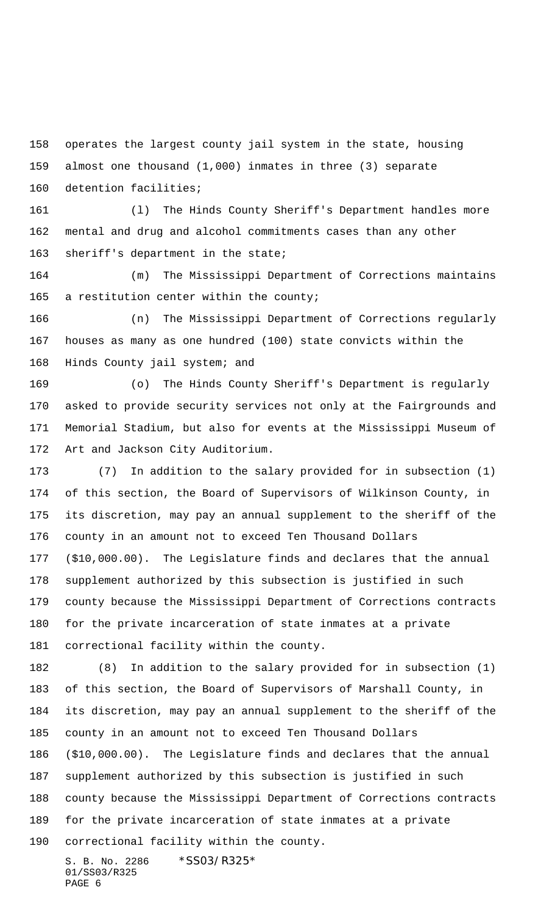operates the largest county jail system in the state, housing almost one thousand (1,000) inmates in three (3) separate

detention facilities;

 (l) The Hinds County Sheriff's Department handles more mental and drug and alcohol commitments cases than any other sheriff's department in the state;

 (m) The Mississippi Department of Corrections maintains 165 a restitution center within the county;

 (n) The Mississippi Department of Corrections regularly houses as many as one hundred (100) state convicts within the Hinds County jail system; and

 (o) The Hinds County Sheriff's Department is regularly asked to provide security services not only at the Fairgrounds and Memorial Stadium, but also for events at the Mississippi Museum of Art and Jackson City Auditorium.

 (7) In addition to the salary provided for in subsection (1) of this section, the Board of Supervisors of Wilkinson County, in its discretion, may pay an annual supplement to the sheriff of the county in an amount not to exceed Ten Thousand Dollars (\$10,000.00). The Legislature finds and declares that the annual supplement authorized by this subsection is justified in such county because the Mississippi Department of Corrections contracts for the private incarceration of state inmates at a private correctional facility within the county.

 (8) In addition to the salary provided for in subsection (1) of this section, the Board of Supervisors of Marshall County, in its discretion, may pay an annual supplement to the sheriff of the county in an amount not to exceed Ten Thousand Dollars (\$10,000.00). The Legislature finds and declares that the annual supplement authorized by this subsection is justified in such county because the Mississippi Department of Corrections contracts for the private incarceration of state inmates at a private correctional facility within the county.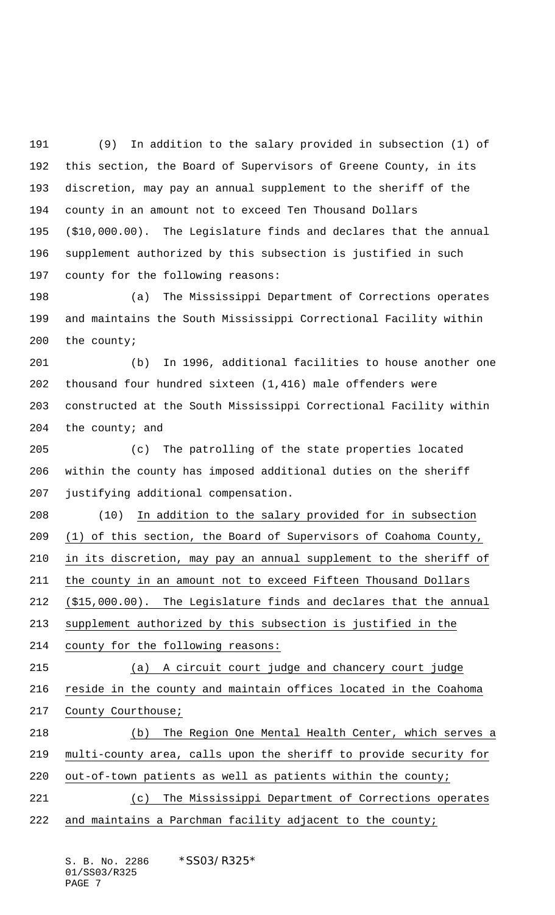(9) In addition to the salary provided in subsection (1) of this section, the Board of Supervisors of Greene County, in its discretion, may pay an annual supplement to the sheriff of the county in an amount not to exceed Ten Thousand Dollars (\$10,000.00). The Legislature finds and declares that the annual supplement authorized by this subsection is justified in such county for the following reasons:

 (a) The Mississippi Department of Corrections operates and maintains the South Mississippi Correctional Facility within the county;

 (b) In 1996, additional facilities to house another one thousand four hundred sixteen (1,416) male offenders were constructed at the South Mississippi Correctional Facility within 204 the county; and

 (c) The patrolling of the state properties located within the county has imposed additional duties on the sheriff justifying additional compensation.

 (10) In addition to the salary provided for in subsection (1) of this section, the Board of Supervisors of Coahoma County, in its discretion, may pay an annual supplement to the sheriff of the county in an amount not to exceed Fifteen Thousand Dollars (\$15,000.00). The Legislature finds and declares that the annual supplement authorized by this subsection is justified in the county for the following reasons:

 (a) A circuit court judge and chancery court judge reside in the county and maintain offices located in the Coahoma County Courthouse;

 (b) The Region One Mental Health Center, which serves a multi-county area, calls upon the sheriff to provide security for out-of-town patients as well as patients within the county;

 (c) The Mississippi Department of Corrections operates 222 and maintains a Parchman facility adjacent to the county;